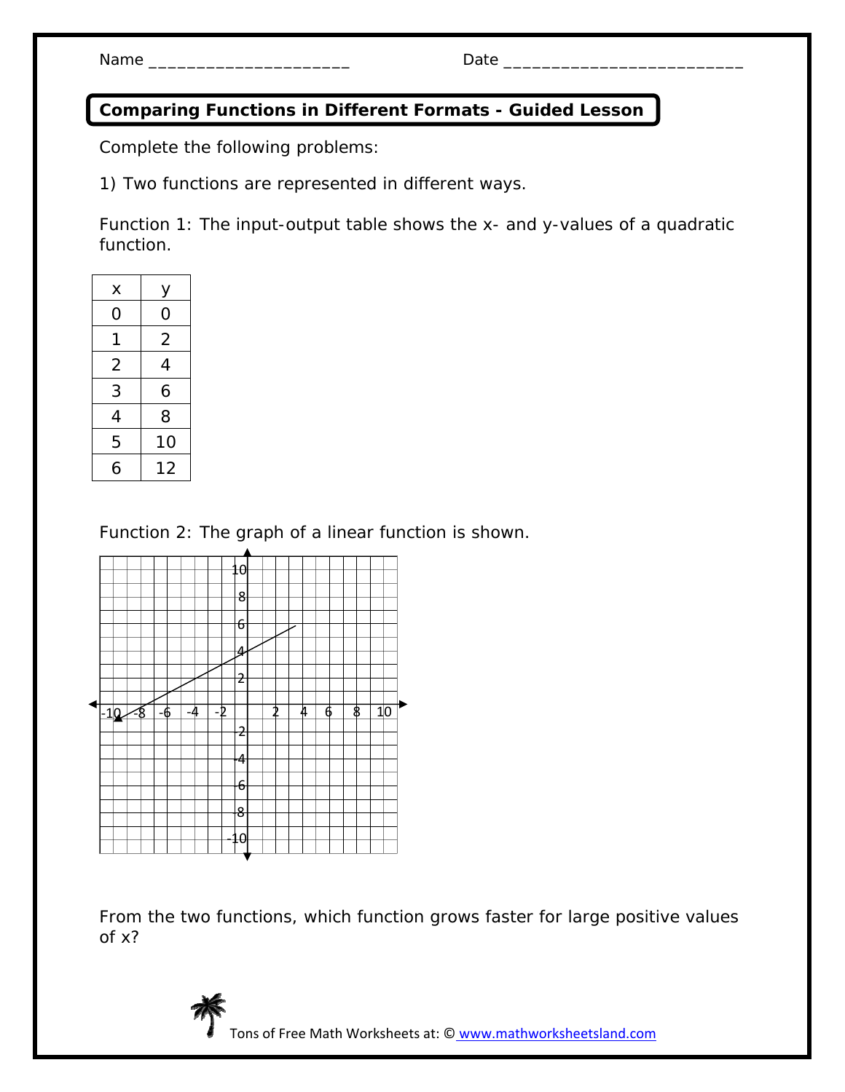## **Comparing Functions in Different Formats - Guided Lesson**

Complete the following problems:

1) Two functions are represented in different ways.

Function 1: The input-output table shows the x- and y-values of a quadratic function.

| x              | у              |
|----------------|----------------|
| 0              | O              |
| 1              | $\overline{2}$ |
| $\overline{2}$ | 4              |
| 3              | 6              |
| 4              | 8              |
| 5              | 10             |
| 6              | 12             |
|                |                |

Function 2: The graph of a linear function is shown.



From the two functions, which function grows faster for large positive values of *x*?



Tons of Free Math Worksheets at: © www.mathworksheetsland.com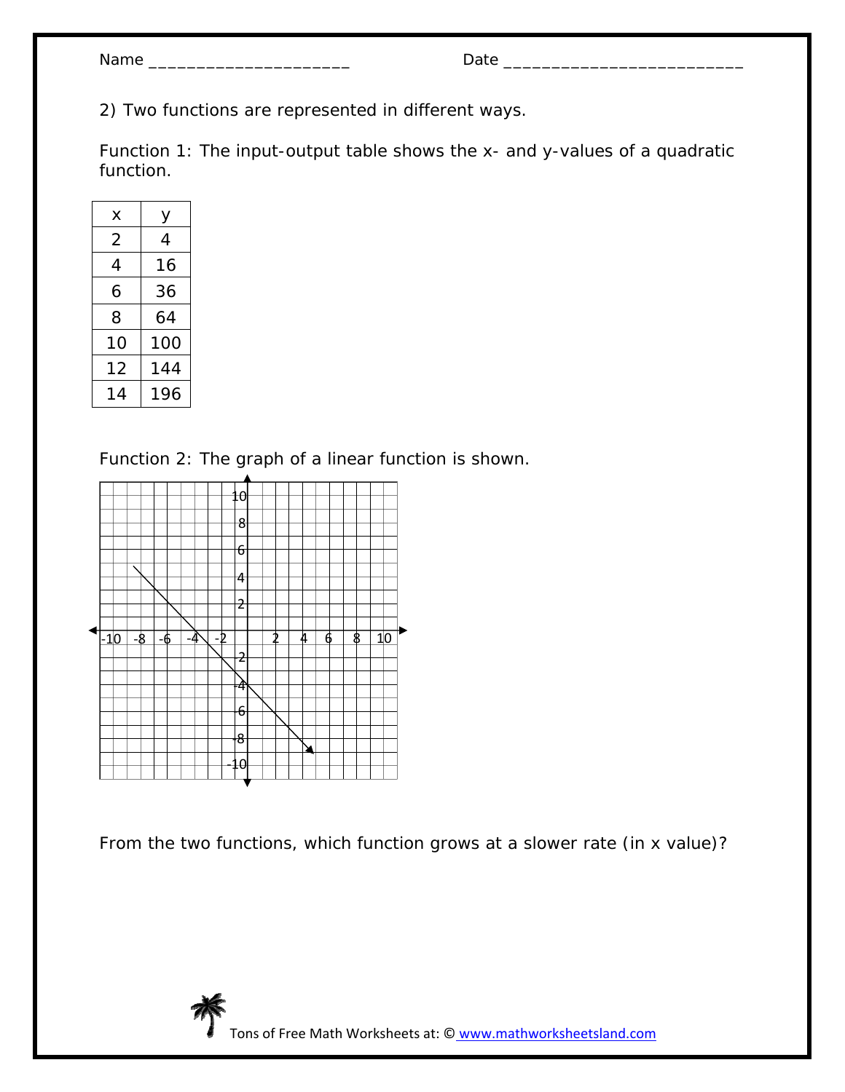| Jam |  |
|-----|--|
|-----|--|

Name \_\_\_\_\_\_\_\_\_\_\_\_\_\_\_\_\_\_\_\_\_ Date \_\_\_\_\_\_\_\_\_\_\_\_\_\_\_\_\_\_\_\_\_\_\_\_\_

2) Two functions are represented in different ways.

Function 1: The input-output table shows the x- and y-values of a quadratic function.

| х  | у   |
|----|-----|
| 2  | 4   |
| 4  | 16  |
| 6  | 36  |
| 8  | 64  |
| 10 | 100 |
| 12 | 144 |
| 14 | 196 |

Function 2: The graph of a linear function is shown.



From the two functions, which function grows at a slower rate (in x value)?